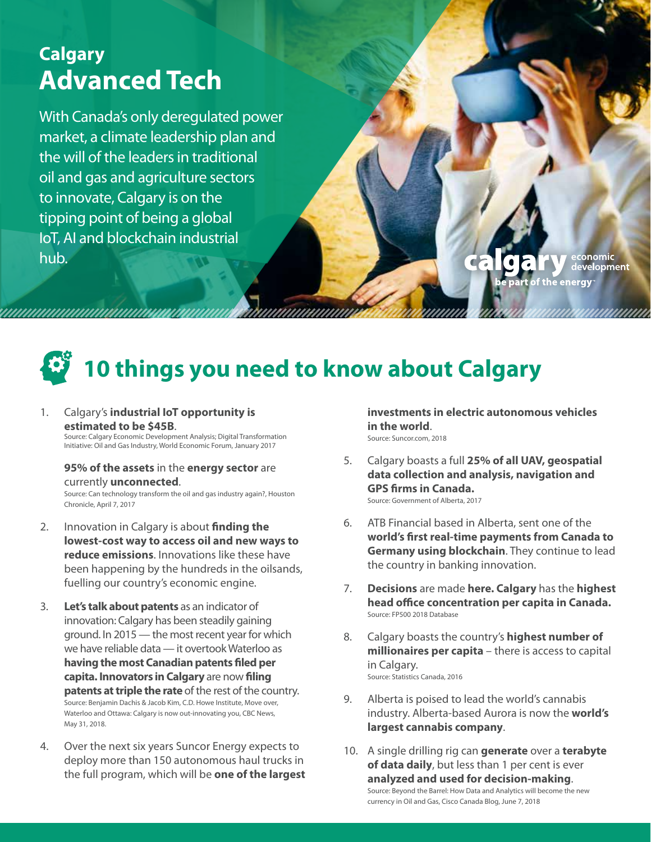### **Calgary Advanced Tech**

With Canada's only deregulated power market, a climate leadership plan and the will of the leaders in traditional oil and gas and agriculture sectors to innovate, Calgary is on the tipping point of being a global IoT, AI and blockchain industrial hub.

conomic development ergy

# **10 things you need to know about Calgary**

#### 1. Calgary's **industrial IoT opportunity is estimated to be \$45B.**<br>Source: Calgary Economic Development Analysis; Digital Transformation

Initiative: Oil and Gas Industry, World Economic Forum, January 2017

#### **95% of the assets** in the **energy sector** are currently **unconnected**.

Source: Can technology transform the oil and gas industry again?, Houston Chronicle, April 7, 2017

- 2. Innovation in Calgary is about **finding the lowest-cost way to access oil and new ways to reduce emissions**. Innovations like these have been happening by the hundreds in the oilsands, fuelling our country's economic engine.
- 3. **Let's talk about patents** as an indicator of innovation: Calgary has been steadily gaining ground. In 2015 — the most recent year for which we have reliable data — it overtook Waterloo as **having the most Canadian patents filed per capita. Innovators in Calgary** are now **filing patents at triple the rate** of the rest of the country. Source: Benjamin Dachis & Jacob Kim, C.D. Howe Institute, Move over, Waterloo and Ottawa: Calgary is now out-innovating you, CBC News, May 31, 2018.
- 4. Over the next six years Suncor Energy expects to deploy more than 150 autonomous haul trucks in the full program, which will be **one of the largest**

**investments in electric autonomous vehicles in the world**. Source: Suncor.com, 2018

- 5. Calgary boasts a full **25% of all UAV, geospatial data collection and analysis, navigation and GPS firms in Canada.**  Source: Government of Alberta, 2017
- 6. ATB Financial based in Alberta, sent one of the **world's first real-time payments from Canada to Germany using blockchain**. They continue to lead the country in banking innovation.
- 7. **Decisions** are made **here. Calgary** has the **highest head office concentration per capita in Canada.** Source: FP500 2018 Database
- 8. Calgary boasts the country's **highest number of millionaires per capita** – there is access to capital in Calgary. Source: Statistics Canada, 2016
- 9. Alberta is poised to lead the world's cannabis industry. Alberta-based Aurora is now the **world's largest cannabis company**.
- 10. A single drilling rig can **generate** over a **terabyte of data daily**, but less than 1 per cent is ever **analyzed and used for decision-making**. Source: Beyond the Barrel: How Data and Analytics will become the new currency in Oil and Gas, Cisco Canada Blog, June 7, 2018